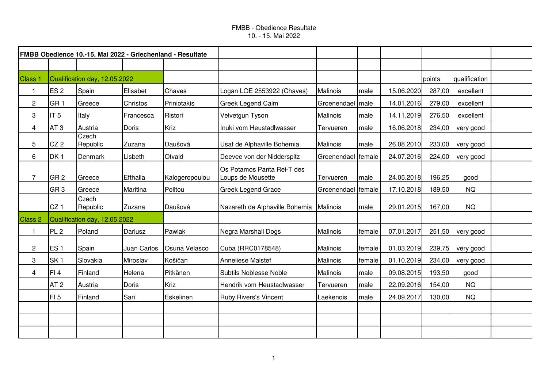| FMBB Obedience 10.-15. Mai 2022 - Griechenland - Resultate |                 |                               |              |                |                                                 |                    |        |            |        |               |  |
|------------------------------------------------------------|-----------------|-------------------------------|--------------|----------------|-------------------------------------------------|--------------------|--------|------------|--------|---------------|--|
|                                                            |                 |                               |              |                |                                                 |                    |        |            |        |               |  |
| Class 1                                                    |                 | Qualification day, 12.05.2022 |              |                |                                                 |                    |        |            | points | qualification |  |
| 1                                                          | ES <sub>2</sub> | Spain                         | Elisabet     | Chaves         | Logan LOE 2553922 (Chaves)                      | Malinois           | male   | 15.06.2020 | 287,00 | excellent     |  |
| $\overline{2}$                                             | GR <sub>1</sub> | Greece                        | Christos     | Priniotakis    | <b>Greek Legend Calm</b>                        | Groenendael   male |        | 14.01.2016 | 279,00 | excellent     |  |
| 3                                                          | IT <sub>5</sub> | Italy                         | Francesca    | Ristori        | Velvetgun Tyson                                 | Malinois           | male   | 14.11.2019 | 276,50 | excellent     |  |
| $\overline{\mathbf{4}}$                                    | AT <sub>3</sub> | Austria                       | Doris        | Kriz           | Inuki vom Heustadlwasser                        | Tervueren          | male   | 16.06.2018 | 234,00 | very good     |  |
| 5                                                          | CZ <sub>2</sub> | Czech<br>Republic             | Zuzana       | Daušová        | Usaf de Alphaville Bohemia                      | Malinois           | male   | 26.08.2010 | 233,00 | very good     |  |
| 6                                                          | DK <sub>1</sub> | Denmark                       | Lisbeth      | Otvald         | Deevee von der Nidderspitz                      | Groenendael female |        | 24.07.2016 | 224,00 | very good     |  |
| $\overline{7}$                                             | GR <sub>2</sub> | Greece                        | Efthalia     | Kalogeropoulou | Os Potamos Panta Rei-T des<br>Loups de Mousette | Tervueren          | male   | 24.05.2018 | 196,25 | good          |  |
|                                                            | GR <sub>3</sub> | Greece                        | Maritina     | Politou        | <b>Greek Legend Grace</b>                       | Groenendael female |        | 17.10.2018 | 189,50 | <b>NQ</b>     |  |
|                                                            | CZ <sub>1</sub> | Czech<br>Republic             | Zuzana       | Daušová        | Nazareth de Alphaville Bohemia   Malinois       |                    | male   | 29.01.2015 | 167,00 | <b>NQ</b>     |  |
| <b>Class 2</b>                                             |                 | Qualification day, 12.05.2022 |              |                |                                                 |                    |        |            |        |               |  |
| $\mathbf{1}$                                               | PL <sub>2</sub> | Poland                        | Dariusz      | Pawlak         | Negra Marshall Dogs                             | Malinois           | female | 07.01.2017 | 251,50 | very good     |  |
| $\overline{c}$                                             | ES <sub>1</sub> | Spain                         | Juan Carlos  | Osuna Velasco  | Cuba (RRC0178548)                               | Malinois           | female | 01.03.2019 | 239,75 | very good     |  |
| 3                                                          | SK <sub>1</sub> | Slovakia                      | Miroslav     | Košičan        | <b>Anneliese Malstef</b>                        | Malinois           | female | 01.10.2019 | 234,00 | very good     |  |
| 4                                                          | FI4             | Finland                       | Helena       | Pitkänen       | Subtils Noblesse Noble                          | Malinois           | male   | 09.08.2015 | 193,50 | good          |  |
|                                                            | AT <sub>2</sub> | Austria                       | <b>Doris</b> | Kriz           | Hendrik vom Heustadlwasser                      | Tervueren          | male   | 22.09.2016 | 154,00 | <b>NQ</b>     |  |
|                                                            | FI <sub>5</sub> | Finland                       | Sari         | Eskelinen      | <b>Ruby Rivers's Vincent</b>                    | Laekenois          | male   | 24.09.2017 | 130,00 | <b>NQ</b>     |  |
|                                                            |                 |                               |              |                |                                                 |                    |        |            |        |               |  |
|                                                            |                 |                               |              |                |                                                 |                    |        |            |        |               |  |
|                                                            |                 |                               |              |                |                                                 |                    |        |            |        |               |  |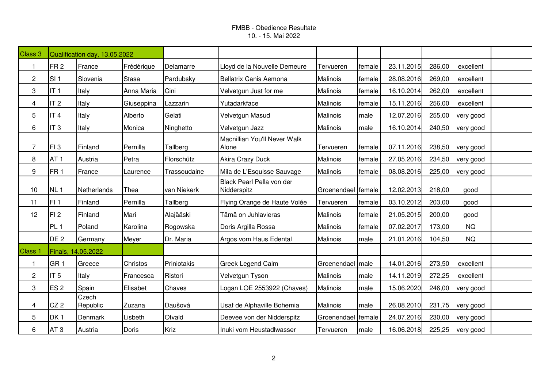| Class 3            | Qualification day, 13.05.2022 |                   |              |              |                                          |                    |        |            |        |           |  |
|--------------------|-------------------------------|-------------------|--------------|--------------|------------------------------------------|--------------------|--------|------------|--------|-----------|--|
| 1                  | FR <sub>2</sub>               | France            | Frédérique   | Delamarre    | Lloyd de la Nouvelle Demeure             | Tervueren          | female | 23.11.2015 | 286,00 | excellent |  |
| $\overline{c}$     | SI <sub>1</sub>               | Slovenia          | <b>Stasa</b> | Pardubsky    | Bellatrix Canis Aemona                   | Malinois           | female | 28.08.2016 | 269,00 | excellent |  |
| 3                  | IT <sub>1</sub>               | Italy             | Anna Maria   | Cini         | Velvetgun Just for me                    | Malinois           | female | 16.10.2014 | 262,00 | excellent |  |
| 4                  | IT <sub>2</sub>               | Italy             | Giuseppina   | Lazzarin     | Yutadarkface                             | Malinois           | female | 15.11.2016 | 256,00 | excellent |  |
| 5                  | IT <sub>4</sub>               | Italy             | Alberto      | Gelati       | Velvetgun Masud                          | Malinois           | male   | 12.07.2016 | 255,00 | very good |  |
| 6                  | IT <sub>3</sub>               | Italy             | Monica       | Ninghetto    | Velvetgun Jazz                           | Malinois           | male   | 16.10.2014 | 240,50 | very good |  |
| $\overline{7}$     | FI3                           | Finland           | Pernilla     | Tallberg     | Macnillian You'll Never Walk<br>Alone    | Tervueren          | female | 07.11.2016 | 238,50 | very good |  |
| 8                  | AT <sub>1</sub>               | Austria           | Petra        | Florschütz   | <b>Akira Crazy Duck</b>                  | Malinois           | female | 27.05.2016 | 234,50 | very good |  |
| 9                  | FR <sub>1</sub>               | France            | Laurence     | Trassoudaine | Mila de L'Esquisse Sauvage               | Malinois           | female | 08.08.2016 | 225,00 | very good |  |
| 10                 | NL <sub>1</sub>               | Netherlands       | Thea         | van Niekerk  | Black Pearl Pella von der<br>Nidderspitz | Groenendael female |        | 12.02.2013 | 218,00 | good      |  |
| 11                 | FI <sub>1</sub>               | Finland           | Pernilla     | Tallberg     | Flying Orange de Haute Volée             | Tervueren          | female | 03.10.2012 | 203,00 | good      |  |
| 12                 | FI2                           | Finland           | Mari         | Alajääski    | Tämä on Juhlavieras                      | Malinois           | female | 21.05.2015 | 200,00 | good      |  |
|                    | PL <sub>1</sub>               | Poland            | Karolina     | Rogowska     | Doris Argilla Rossa                      | Malinois           | female | 07.02.2017 | 173,00 | <b>NQ</b> |  |
|                    | DE <sub>2</sub>               | Germany           | Meyer        | Dr. Maria    | Argos vom Haus Edental                   | Malinois           | male   | 21.01.2016 | 104,50 | <b>NQ</b> |  |
| Class <sub>1</sub> | Finals, 14.05.2022            |                   |              |              |                                          |                    |        |            |        |           |  |
| $\mathbf 1$        | GR <sub>1</sub>               | Greece            | Christos     | Priniotakis  | <b>Greek Legend Calm</b>                 | Groenendael        | male   | 14.01.2016 | 273,50 | excellent |  |
| $\overline{c}$     | IT <sub>5</sub>               | Italy             | Francesca    | Ristori      | Velvetgun Tyson                          | Malinois           | male   | 14.11.2019 | 272,25 | excellent |  |
| 3                  | ES <sub>2</sub>               | Spain             | Elisabet     | Chaves       | Logan LOE 2553922 (Chaves)               | Malinois           | male   | 15.06.2020 | 246,00 | very good |  |
| 4                  | CZ2                           | Czech<br>Republic | Zuzana       | Daušová      | Usaf de Alphaville Bohemia               | Malinois           | male   | 26.08.2010 | 231,75 | very good |  |
| 5                  | DK <sub>1</sub>               | Denmark           | Lisbeth      | Otvald       | Deevee von der Nidderspitz               | Groenendael        | female | 24.07.2016 | 230,00 | very good |  |
| 6                  | AT <sub>3</sub>               | Austria           | Doris        | Kriz         | Inuki vom Heustadlwasser                 | Tervueren          | male   | 16.06.2018 | 225,25 | very good |  |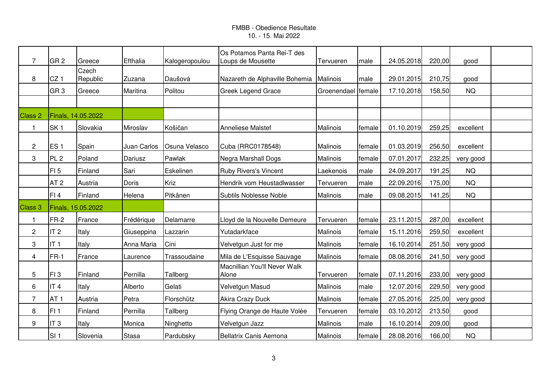| $\overline{7}$ | GR <sub>2</sub>    | Greece            | Efthalia     | Kalogeropoulou | Os Potamos Panta Rei-T des<br>Loups de Mousette | Tervueren          | male   | 24.05.2018 | 220,00 | good      |  |
|----------------|--------------------|-------------------|--------------|----------------|-------------------------------------------------|--------------------|--------|------------|--------|-----------|--|
| 8              | CZ <sub>1</sub>    | Czech<br>Republic | Zuzana       | Daušová        | Nazareth de Alphaville Bohemia                  | Malinois           | male   | 29.01.2015 | 210,75 | good      |  |
|                | GR <sub>3</sub>    | Greece            | Maritina     | Politou        | <b>Greek Legend Grace</b>                       | Groenendael female |        | 17.10.2018 | 158,50 | <b>NQ</b> |  |
|                |                    |                   |              |                |                                                 |                    |        |            |        |           |  |
| Class 2        | Finals, 14.05.2022 |                   |              |                |                                                 |                    |        |            |        |           |  |
| $\mathbf{1}$   | SK <sub>1</sub>    | Slovakia          | Miroslav     | Košičan        | <b>Anneliese Malstef</b>                        | Malinois           | female | 01.10.2019 | 259,25 | excellent |  |
| $\overline{2}$ | ES <sub>1</sub>    | Spain             | Juan Carlos  | Osuna Velasco  | Cuba (RRC0178548)                               | Malinois           | female | 01.03.2019 | 256,50 | excellent |  |
| 3              | PL <sub>2</sub>    | Poland            | Dariusz      | Pawlak         | Negra Marshall Dogs                             | Malinois           | female | 07.01.2017 | 232,25 | very good |  |
|                | FI <sub>5</sub>    | Finland           | Sari         | Eskelinen      | <b>Ruby Rivers's Vincent</b>                    | Laekenois          | male   | 24.09.2017 | 191,25 | <b>NQ</b> |  |
|                | AT <sub>2</sub>    | Austria           | <b>Doris</b> | Kriz           | Hendrik vom Heustadlwasser                      | Tervueren          | male   | 22.09.2016 | 175,00 | <b>NQ</b> |  |
|                | FI4                | Finland           | Helena       | Pitkänen       | Subtils Noblesse Noble                          | Malinois           | male   | 09.08.2015 | 141,25 | <b>NQ</b> |  |
| Class 3        | Finals, 15.05.2022 |                   |              |                |                                                 |                    |        |            |        |           |  |
| 1              | $FR-2$             | France            | Frédérique   | Delamarre      | Lloyd de la Nouvelle Demeure                    | Tervueren          | female | 23.11.2015 | 287,00 | excellent |  |
| $\overline{c}$ | IT <sub>2</sub>    | Italy             | Giuseppina   | Lazzarin       | Yutadarkface                                    | Malinois           | female | 15.11.2016 | 259,50 | excellent |  |
| 3              | IT <sub>1</sub>    | Italy             | Anna Maria   | Cini           | Velvetgun Just for me                           | Malinois           | female | 16.10.2014 | 251,50 | very good |  |
| 4              | $FR-1$             | France            | Laurence     | Trassoudaine   | Mila de L'Esquisse Sauvage                      | Malinois           | female | 08.08.2016 | 241,50 | very good |  |
| 5              | FI3                | Finland           | Pernilla     | Tallberg       | Macnillian You'll Never Walk<br>Alone           | Tervueren          | female | 07.11.2016 | 233,00 | very good |  |
| 6              | IT <sub>4</sub>    | Italy             | Alberto      | Gelati         | Velvetgun Masud                                 | Malinois           | male   | 12.07.2016 | 229,50 | very good |  |
| $\overline{7}$ | AT <sub>1</sub>    | Austria           | Petra        | Florschütz     | Akira Crazy Duck                                | Malinois           | female | 27.05.2016 | 225,00 | very good |  |
| 8              | FI <sub>1</sub>    | Finland           | Pernilla     | Tallberg       | Flying Orange de Haute Volée                    | Tervueren          | female | 03.10.2012 | 213,50 | good      |  |
| 9              | IT <sub>3</sub>    | Italy             | Monica       | Ninghetto      | Velvetgun Jazz                                  | Malinois           | male   | 16.10.2014 | 209,00 | good      |  |
|                | SI <sub>1</sub>    | Slovenia          | <b>Stasa</b> | Pardubsky      | <b>Bellatrix Canis Aemona</b>                   | Malinois           | female | 28.08.2016 | 166,00 | <b>NQ</b> |  |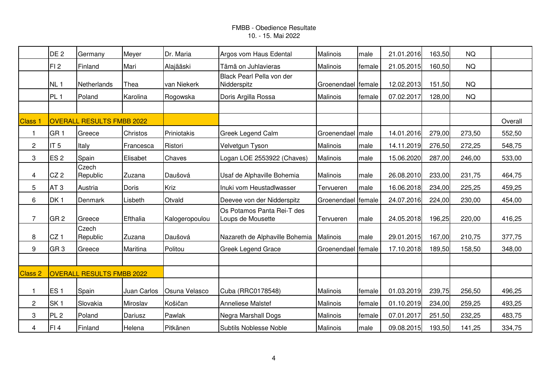|                | DE <sub>2</sub>                  | Germany                          | Meyer       | Dr. Maria      | Argos vom Haus Edental                          | Malinois           | male   | 21.01.2016 | 163,50 | <b>NQ</b> |         |
|----------------|----------------------------------|----------------------------------|-------------|----------------|-------------------------------------------------|--------------------|--------|------------|--------|-----------|---------|
|                | FI <sub>2</sub>                  | Finland                          | Mari        | Alajääski      | Tämä on Juhlavieras                             | Malinois           | female | 21.05.2015 | 160,50 | <b>NQ</b> |         |
|                | NL <sub>1</sub>                  | Netherlands                      | Thea        | van Niekerk    | Black Pearl Pella von der<br>Nidderspitz        | Groenendael female |        | 12.02.2013 | 151,50 | <b>NQ</b> |         |
|                | PL <sub>1</sub>                  | Poland                           | Karolina    | Rogowska       | Doris Argilla Rossa                             | Malinois           | female | 07.02.2017 | 128,00 | <b>NQ</b> |         |
|                |                                  |                                  |             |                |                                                 |                    |        |            |        |           |         |
| <b>Class 1</b> |                                  | <b>OVERALL RESULTS FMBB 2022</b> |             |                |                                                 |                    |        |            |        |           | Overall |
| 1              | GR <sub>1</sub>                  | Greece                           | Christos    | Priniotakis    | <b>Greek Legend Calm</b>                        | Groenendael   male |        | 14.01.2016 | 279,00 | 273,50    | 552,50  |
| $\overline{c}$ | IT <sub>5</sub>                  | Italy                            | Francesca   | Ristori        | Velvetgun Tyson                                 | Malinois           | male   | 14.11.2019 | 276,50 | 272,25    | 548,75  |
| 3              | ES <sub>2</sub>                  | Spain                            | Elisabet    | Chaves         | Logan LOE 2553922 (Chaves)                      | Malinois           | male   | 15.06.2020 | 287,00 | 246,00    | 533,00  |
| 4              | CZ2                              | Czech<br>Republic                | Zuzana      | Daušová        | Usaf de Alphaville Bohemia                      | Malinois           | male   | 26.08.2010 | 233,00 | 231,75    | 464,75  |
| 5              | AT <sub>3</sub>                  | Austria                          | Doris       | Kriz           | Inuki vom Heustadlwasser                        | Tervueren          | male   | 16.06.2018 | 234,00 | 225,25    | 459,25  |
| 6              | DK <sub>1</sub>                  | Denmark                          | Lisbeth     | Otvald         | Deevee von der Nidderspitz                      | Groenendael        | female | 24.07.2016 | 224,00 | 230,00    | 454,00  |
| $\overline{7}$ | GR <sub>2</sub>                  | Greece                           | Efthalia    | Kalogeropoulou | Os Potamos Panta Rei-T des<br>Loups de Mousette | Tervueren          | male   | 24.05.2018 | 196,25 | 220,00    | 416,25  |
| 8              | CZ <sub>1</sub>                  | Czech<br>Republic                | Zuzana      | Daušová        | Nazareth de Alphaville Bohemia                  | Malinois           | male   | 29.01.2015 | 167,00 | 210,75    | 377,75  |
| 9              | GR <sub>3</sub>                  | Greece                           | Maritina    | Politou        | <b>Greek Legend Grace</b>                       | Groenendael female |        | 17.10.2018 | 189,50 | 158,50    | 348,00  |
|                |                                  |                                  |             |                |                                                 |                    |        |            |        |           |         |
| Class 2        | <b>OVERALL RESULTS FMBB 2022</b> |                                  |             |                |                                                 |                    |        |            |        |           |         |
| $\mathbf{1}$   | ES <sub>1</sub>                  | Spain                            | Juan Carlos | Osuna Velasco  | Cuba (RRC0178548)                               | Malinois           | female | 01.03.2019 | 239,75 | 256,50    | 496,25  |
| $\overline{c}$ | SK <sub>1</sub>                  | Slovakia                         | Miroslav    | Košičan        | <b>Anneliese Malstef</b>                        | Malinois           | female | 01.10.2019 | 234,00 | 259,25    | 493,25  |
| 3              | PL <sub>2</sub>                  | Poland                           | Dariusz     | Pawlak         | Negra Marshall Dogs                             | Malinois           | female | 07.01.2017 | 251,50 | 232,25    | 483,75  |
| 4              | FI <sub>4</sub>                  | Finland                          | Helena      | Pitkänen       | Subtils Noblesse Noble                          | Malinois           | male   | 09.08.2015 | 193,50 | 141,25    | 334,75  |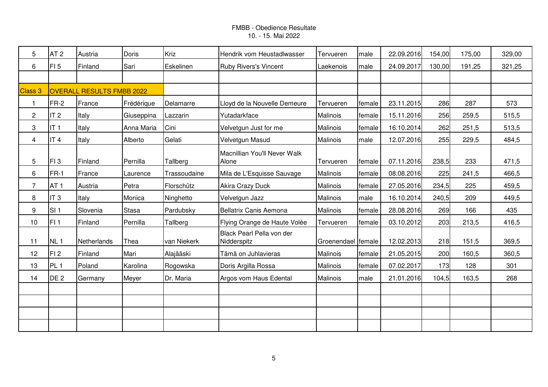| 5              | AT <sub>2</sub> | Austria                          | Doris        | Kriz         | Hendrik vom Heustadlwasser               | Tervueren          | male    | 22.09.2016 | 154,00 | 175,00 | 329,00 |
|----------------|-----------------|----------------------------------|--------------|--------------|------------------------------------------|--------------------|---------|------------|--------|--------|--------|
| 6              | FI <sub>5</sub> | Finland                          | Sari         | Eskelinen    | <b>Ruby Rivers's Vincent</b>             | Laekenois          | male    | 24.09.2017 | 130,00 | 191,25 | 321,25 |
|                |                 |                                  |              |              |                                          |                    |         |            |        |        |        |
| Class 3        |                 | <b>OVERALL RESULTS FMBB 2022</b> |              |              |                                          |                    |         |            |        |        |        |
| $\mathbf{1}$   | FR-2            | France                           | Frédérique   | Delamarre    | Lloyd de la Nouvelle Demeure             | Tervueren          | female  | 23.11.2015 | 286    | 287    | 573    |
| $\overline{c}$ | IT <sub>2</sub> | Italy                            | Giuseppina   | Lazzarin     | Yutadarkface                             | Malinois           | female  | 15.11.2016 | 256    | 259,5  | 515,5  |
| 3              | IT <sub>1</sub> | Italy                            | Anna Maria   | Cini         | Velvetgun Just for me                    | Malinois           | female  | 16.10.2014 | 262    | 251,5  | 513,5  |
| 4              | IT <sub>4</sub> | Italy                            | Alberto      | Gelati       | Velvetgun Masud                          | Malinois           | male    | 12.07.2016 | 255    | 229,5  | 484,5  |
| 5              | FI3             | Finland                          | Pernilla     | Tallberg     | Macnillian You'll Never Walk<br>Alone    | Tervueren          | female  | 07.11.2016 | 238,5  | 233    | 471,5  |
| 6              | FR-1            | France                           | Laurence     | Trassoudaine | Mila de L'Esquisse Sauvage               | Malinois           | female  | 08.08.2016 | 225    | 241,5  | 466,5  |
| $\overline{7}$ | AT <sub>1</sub> | Austria                          | Petra        | Florschütz   | <b>Akira Crazy Duck</b>                  | Malinois           | female  | 27.05.2016 | 234,5  | 225    | 459,5  |
| 8              | IT <sub>3</sub> | Italy                            | Monica       | Ninghetto    | Velvetgun Jazz                           | Malinois           | male    | 16.10.2014 | 240,5  | 209    | 449,5  |
| 9              | SI <sub>1</sub> | Slovenia                         | <b>Stasa</b> | Pardubsky    | Bellatrix Canis Aemona                   | Malinois           | female  | 28.08.2016 | 269    | 166    | 435    |
| 10             | FI <sub>1</sub> | Finland                          | Pernilla     | Tallberg     | Flying Orange de Haute Volée             | Tervueren          | lfemale | 03.10.2012 | 203    | 213,5  | 416,5  |
| 11             | NL <sub>1</sub> | Netherlands                      | Thea         | van Niekerk  | Black Pearl Pella von der<br>Nidderspitz | Groenendael female |         | 12.02.2013 | 218    | 151,5  | 369,5  |
| 12             | FI <sub>2</sub> | Finland                          | Mari         | Alajääski    | Tämä on Juhlavieras                      | Malinois           | female  | 21.05.2015 | 200    | 160,5  | 360,5  |
| 13             | PL <sub>1</sub> | Poland                           | Karolina     | Rogowska     | Doris Argilla Rossa                      | Malinois           | female  | 07.02.2017 | 173    | 128    | 301    |
| 14             | DE <sub>2</sub> | Germany                          | Meyer        | Dr. Maria    | Argos vom Haus Edental                   | Malinois           | male    | 21.01.2016 | 104,5  | 163,5  | 268    |
|                |                 |                                  |              |              |                                          |                    |         |            |        |        |        |
|                |                 |                                  |              |              |                                          |                    |         |            |        |        |        |
|                |                 |                                  |              |              |                                          |                    |         |            |        |        |        |
|                |                 |                                  |              |              |                                          |                    |         |            |        |        |        |